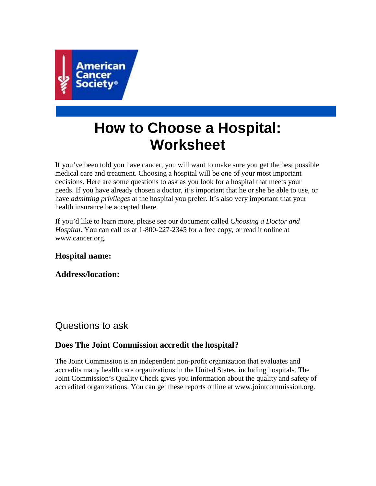

# **How to Choose a Hospital: Worksheet**

If you've been told you have cancer, you will want to make sure you get the best possible medical care and treatment. Choosing a hospital will be one of your most important decisions. Here are some questions to ask as you look for a hospital that meets your needs. If you have already chosen a doctor, it's important that he or she be able to use, or have *admitting privileges* at the hospital you prefer. It's also very important that your health insurance be accepted there.

If you'd like to learn more, please see our document called *Choosing a Doctor and Hospital*. You can call us at 1-800-227-2345 for a free copy, or read it online at www.cancer.org.

#### **Hospital name:**

**Address/location:** 

### Questions to ask

#### **Does The Joint Commission accredit the hospital?**

The Joint Commission is an independent non-profit organization that evaluates and accredits many health care organizations in the United States, including hospitals. The Joint Commission's Quality Check gives you information about the quality and safety of accredited organizations. You can get these reports online at www.jointcommission.org.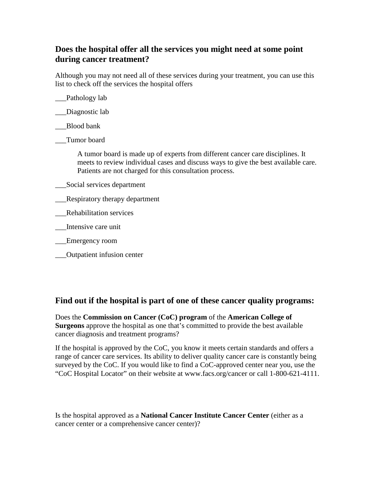#### **Does the hospital offer all the services you might need at some point during cancer treatment?**

Although you may not need all of these services during your treatment, you can use this list to check off the services the hospital offers

\_\_\_Pathology lab

Diagnostic lab

\_\_\_Blood bank

\_\_\_Tumor board

A tumor board is made up of experts from different cancer care disciplines. It meets to review individual cases and discuss ways to give the best available care. Patients are not charged for this consultation process.

- \_\_\_Social services department
- \_\_\_Respiratory therapy department
- \_\_\_Rehabilitation services
- \_\_\_Intensive care unit
- \_\_\_Emergency room
- \_\_\_Outpatient infusion center

#### **Find out if the hospital is part of one of these cancer quality programs:**

Does the **Commission on Cancer (CoC) program** of the **American College of Surgeons** approve the hospital as one that's committed to provide the best available cancer diagnosis and treatment programs?

If the hospital is approved by the CoC, you know it meets certain standards and offers a range of cancer care services. Its ability to deliver quality cancer care is constantly being surveyed by the CoC. If you would like to find a CoC-approved center near you, use the "CoC Hospital Locator" on their website at www.facs.org/cancer or call 1-800-621-4111.

Is the hospital approved as a **National Cancer Institute Cancer Center** (either as a cancer center or a comprehensive cancer center)?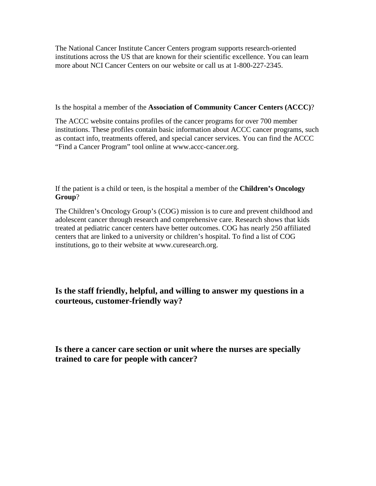The National Cancer Institute Cancer Centers program supports research-oriented institutions across the US that are known for their scientific excellence. You can learn more about NCI Cancer Centers on our website or call us at 1-800-227-2345.

Is the hospital a member of the **Association of Community Cancer Centers (ACCC)**?

The ACCC website contains profiles of the cancer programs for over 700 member institutions. These profiles contain basic information about ACCC cancer programs, such as contact info, treatments offered, and special cancer services. You can find the ACCC "Find a Cancer Program" tool online at www.accc-cancer.org.

If the patient is a child or teen, is the hospital a member of the **Children's Oncology Group**?

The Children's Oncology Group's (COG) mission is to cure and prevent childhood and adolescent cancer through research and comprehensive care. Research shows that kids treated at pediatric cancer centers have better outcomes. COG has nearly 250 affiliated centers that are linked to a university or children's hospital. To find a list of COG institutions, go to their website at www.curesearch.org.

**Is the staff friendly, helpful, and willing to answer my questions in a courteous, customer-friendly way?** 

**Is there a cancer care section or unit where the nurses are specially trained to care for people with cancer?**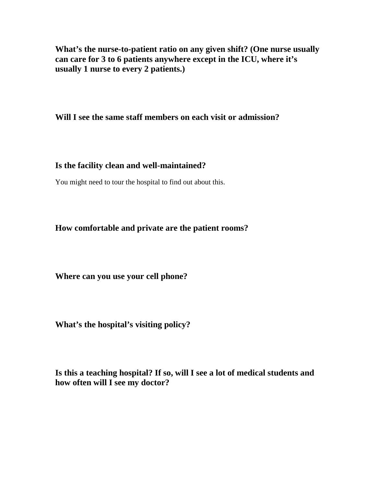**What's the nurse-to-patient ratio on any given shift? (One nurse usually can care for 3 to 6 patients anywhere except in the ICU, where it's usually 1 nurse to every 2 patients.)** 

**Will I see the same staff members on each visit or admission?** 

#### **Is the facility clean and well-maintained?**

You might need to tour the hospital to find out about this.

**How comfortable and private are the patient rooms?** 

**Where can you use your cell phone?** 

**What's the hospital's visiting policy?** 

**Is this a teaching hospital? If so, will I see a lot of medical students and how often will I see my doctor?**